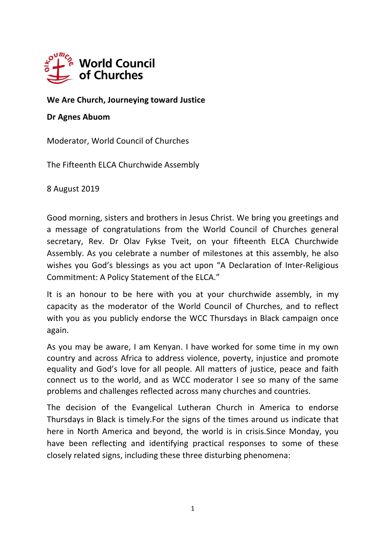

**We Are Church, Journeying toward Justice**

## **Dr Agnes Abuom**

Moderator, World Council of Churches

The Fifteenth ELCA Churchwide Assembly

8 August 2019

Good morning, sisters and brothers in Jesus Christ. We bring you greetings and a message of congratulations from the World Council of Churches general secretary, Rev. Dr Olav Fykse Tveit, on your fifteenth ELCA Churchwide Assembly. As you celebrate a number of milestones at this assembly, he also wishes you God's blessings as you act upon "A Declaration of Inter-Religious Commitment: A Policy Statement of the ELCA."

It is an honour to be here with you at your churchwide assembly, in my capacity as the moderator of the World Council of Churches, and to reflect with you as you publicly endorse the WCC Thursdays in Black campaign once again.

As you may be aware, I am Kenyan. I have worked for some time in my own country and across Africa to address violence, poverty, injustice and promote equality and God's love for all people. All matters of justice, peace and faith connect us to the world, and as WCC moderator I see so many of the same problems and challenges reflected across many churches and countries.

The decision of the Evangelical Lutheran Church in America to endorse Thursdays in Black is timely.For the signs of the times around us indicate that here in North America and beyond, the world is in crisis.Since Monday, you have been reflecting and identifying practical responses to some of these closely related signs, including these three disturbing phenomena: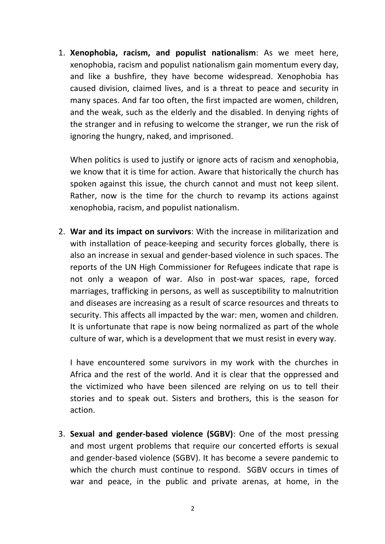1. **Xenophobia, racism, and populist nationalism**: As we meet here, xenophobia, racism and populist nationalism gain momentum every day, and like a bushfire, they have become widespread. Xenophobia has caused division, claimed lives, and is a threat to peace and security in many spaces. And far too often, the first impacted are women, children, and the weak, such as the elderly and the disabled. In denying rights of the stranger and in refusing to welcome the stranger, we run the risk of ignoring the hungry, naked, and imprisoned.

When politics is used to justify or ignore acts of racism and xenophobia, we know that it is time for action. Aware that historically the church has spoken against this issue, the church cannot and must not keep silent. Rather, now is the time for the church to revamp its actions against xenophobia, racism, and populist nationalism.

2. **War and its impact on survivors**: With the increase in militarization and with installation of peace-keeping and security forces globally, there is also an increase in sexual and gender-based violence in such spaces. The reports of the UN High Commissioner for Refugees indicate that rape is not only a weapon of war. Also in post-war spaces, rape, forced marriages, trafficking in persons, as well as susceptibility to malnutrition and diseases are increasing as a result of scarce resources and threats to security. This affects all impacted by the war: men, women and children. It is unfortunate that rape is now being normalized as part of the whole culture of war, which is a development that we must resist in every way.

I have encountered some survivors in my work with the churches in Africa and the rest of the world. And it is clear that the oppressed and the victimized who have been silenced are relying on us to tell their stories and to speak out. Sisters and brothers, this is the season for action.

3. **Sexual and gender-based violence (SGBV)**: One of the most pressing and most urgent problems that require our concerted efforts is sexual and gender-based violence (SGBV). It has become a severe pandemic to which the church must continue to respond. SGBV occurs in times of war and peace, in the public and private arenas, at home, in the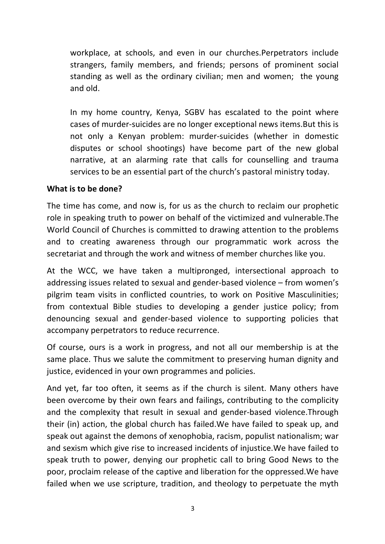workplace, at schools, and even in our churches.Perpetrators include strangers, family members, and friends; persons of prominent social standing as well as the ordinary civilian; men and women; the young and old.

In my home country, Kenya, SGBV has escalated to the point where cases of murder-suicides are no longer exceptional news items.But this is not only a Kenyan problem: murder-suicides (whether in domestic disputes or school shootings) have become part of the new global narrative, at an alarming rate that calls for counselling and trauma services to be an essential part of the church's pastoral ministry today.

## **What is to be done?**

The time has come, and now is, for us as the church to reclaim our prophetic role in speaking truth to power on behalf of the victimized and vulnerable.The World Council of Churches is committed to drawing attention to the problems and to creating awareness through our programmatic work across the secretariat and through the work and witness of member churches like you.

At the WCC, we have taken a multipronged, intersectional approach to addressing issues related to sexual and gender-based violence – from women's pilgrim team visits in conflicted countries, to work on Positive Masculinities; from contextual Bible studies to developing a gender justice policy; from denouncing sexual and gender-based violence to supporting policies that accompany perpetrators to reduce recurrence.

Of course, ours is a work in progress, and not all our membership is at the same place. Thus we salute the commitment to preserving human dignity and justice, evidenced in your own programmes and policies.

And yet, far too often, it seems as if the church is silent. Many others have been overcome by their own fears and failings, contributing to the complicity and the complexity that result in sexual and gender-based violence.Through their (in) action, the global church has failed.We have failed to speak up, and speak out against the demons of xenophobia, racism, populist nationalism; war and sexism which give rise to increased incidents of injustice.We have failed to speak truth to power, denying our prophetic call to bring Good News to the poor, proclaim release of the captive and liberation for the oppressed.We have failed when we use scripture, tradition, and theology to perpetuate the myth